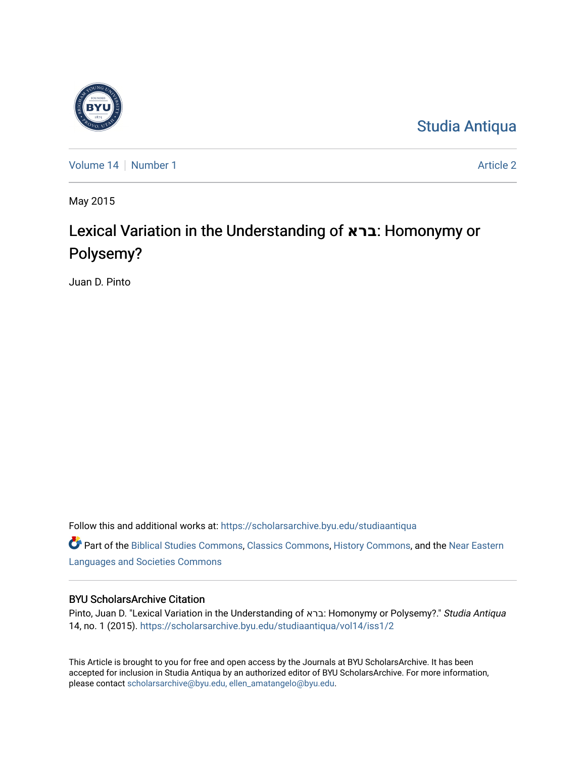

[Studia Antiqua](https://scholarsarchive.byu.edu/studiaantiqua) 

[Volume 14](https://scholarsarchive.byu.edu/studiaantiqua/vol14) [Number 1](https://scholarsarchive.byu.edu/studiaantiqua/vol14/iss1) Article 2

May 2015

# Lexical Variation in the Understanding of **ברא**: Homonymy or Polysemy?

Juan D. Pinto

Follow this and additional works at: [https://scholarsarchive.byu.edu/studiaantiqua](https://scholarsarchive.byu.edu/studiaantiqua?utm_source=scholarsarchive.byu.edu%2Fstudiaantiqua%2Fvol14%2Fiss1%2F2&utm_medium=PDF&utm_campaign=PDFCoverPages) 

Part of the [Biblical Studies Commons,](http://network.bepress.com/hgg/discipline/539?utm_source=scholarsarchive.byu.edu%2Fstudiaantiqua%2Fvol14%2Fiss1%2F2&utm_medium=PDF&utm_campaign=PDFCoverPages) [Classics Commons](http://network.bepress.com/hgg/discipline/446?utm_source=scholarsarchive.byu.edu%2Fstudiaantiqua%2Fvol14%2Fiss1%2F2&utm_medium=PDF&utm_campaign=PDFCoverPages), [History Commons](http://network.bepress.com/hgg/discipline/489?utm_source=scholarsarchive.byu.edu%2Fstudiaantiqua%2Fvol14%2Fiss1%2F2&utm_medium=PDF&utm_campaign=PDFCoverPages), and the [Near Eastern](http://network.bepress.com/hgg/discipline/484?utm_source=scholarsarchive.byu.edu%2Fstudiaantiqua%2Fvol14%2Fiss1%2F2&utm_medium=PDF&utm_campaign=PDFCoverPages)  [Languages and Societies Commons](http://network.bepress.com/hgg/discipline/484?utm_source=scholarsarchive.byu.edu%2Fstudiaantiqua%2Fvol14%2Fiss1%2F2&utm_medium=PDF&utm_campaign=PDFCoverPages) 

## BYU ScholarsArchive Citation

Pinto, Juan D. "Lexical Variation in the Understanding of ברא: Homonymy or Polysemy?." Studia Antiqua 14, no. 1 (2015). [https://scholarsarchive.byu.edu/studiaantiqua/vol14/iss1/2](https://scholarsarchive.byu.edu/studiaantiqua/vol14/iss1/2?utm_source=scholarsarchive.byu.edu%2Fstudiaantiqua%2Fvol14%2Fiss1%2F2&utm_medium=PDF&utm_campaign=PDFCoverPages) 

This Article is brought to you for free and open access by the Journals at BYU ScholarsArchive. It has been accepted for inclusion in Studia Antiqua by an authorized editor of BYU ScholarsArchive. For more information, please contact [scholarsarchive@byu.edu, ellen\\_amatangelo@byu.edu.](mailto:scholarsarchive@byu.edu,%20ellen_amatangelo@byu.edu)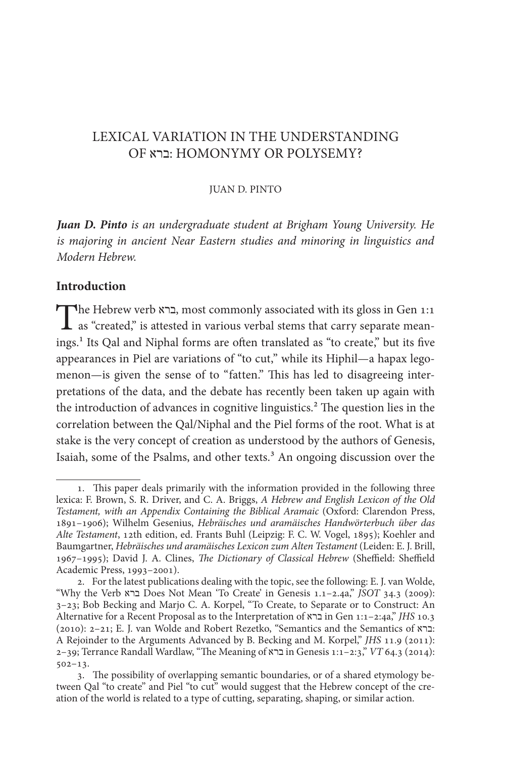## LEXICAL VARIATION IN THE UNDERSTANDING OF ברא: HOMONYMY OR POLYSEMY?

#### JUAN D. PINTO

*Juan D. Pinto is an undergraduate student at Brigham Young University. He is majoring in ancient Near Eastern studies and minoring in linguistics and Modern Hebrew.*

#### **Introduction**

**T**he Hebrew verb ברא, most commonly associated with its gloss in Gen 1:1, as "created," is attested in various verbal stems that carry separate meanings.<sup>1</sup> Its Qal and Niphal forms are often translated as "to create," but its five appearances in Piel are variations of "to cut," while its Hiphil—a hapax legomenon—is given the sense of to "fatten." This has led to disagreeing interpretations of the data, and the debate has recently been taken up again with the introduction of advances in cognitive linguistics.<sup>2</sup> The question lies in the correlation between the Qal/Niphal and the Piel forms of the root. What is at stake is the very concept of creation as understood by the authors of Genesis, Isaiah, some of the Psalms, and other texts.<sup>3</sup> An ongoing discussion over the

<sup>1.</sup> This paper deals primarily with the information provided in the following three lexica: F. Brown, S. R. Driver, and C. A. Briggs, *A Hebrew and English Lexicon of the Old Testament, with an Appendix Containing the Biblical Aramaic* (Oxford: Clarendon Press, 1891–1906); Wilhelm Gesenius, *Hebräisches und aramäisches Handwörterbuch über das Alte Testament*, 12th edition, ed. Frants Buhl (Leipzig: F. C. W. Vogel, 1895); Koehler and Baumgartner, *Hebräisches und aramäisches Lexicon zum Alten Testament* (Leiden: E. J. Brill, 1967-1995); David J. A. Clines, *The Dictionary of Classical Hebrew* (Sheffield: Sheffield Academic Press, 1993–2001).

<sup>2</sup>. For the latest publications dealing with the topic, see the following: E. J. van Wolde, "Why the Verb ברא Does Not Mean 'To Create' in Genesis 1.1–2.4a," *JSOT* 34.3 (2009): 3–23; Bob Becking and Marjo C. A. Korpel, "To Create, to Separate or to Construct: An Alternative for a Recent Proposal as to the Interpretation of ברא in Gen 1:1–2:4a," *JHS* 10.3 (2010): 2–21; E. J. van Wolde and Robert Rezetko, "Semantics and the Semantics of ברא: A Rejoinder to the Arguments Advanced by B. Becking and M. Korpel," *JHS* 11.9 (2011): 2–39; Terrance Randall Wardlaw, "Te Meaning of ברא in Genesis 1:1–2:3," *VT* 64.3 (2014): 502–13.

<sup>3.</sup> The possibility of overlapping semantic boundaries, or of a shared etymology between Qal "to create" and Piel "to cut" would suggest that the Hebrew concept of the creation of the world is related to a type of cutting, separating, shaping, or similar action.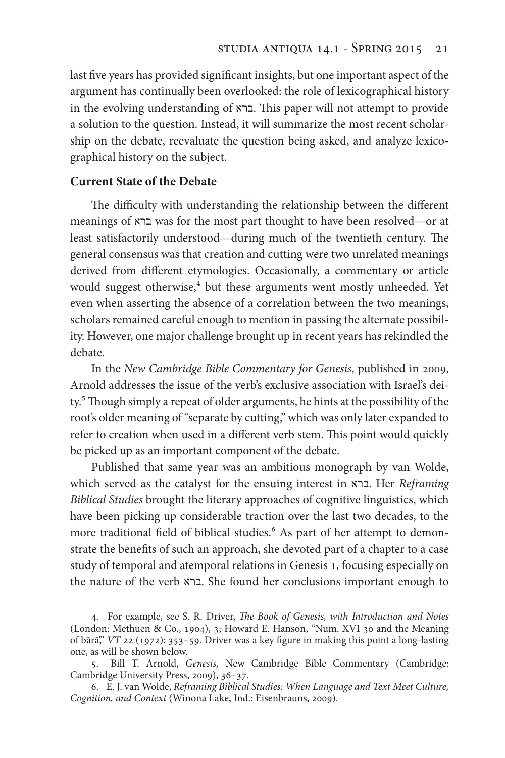last fve years has provided signifcant insights, but one important aspect of the argument has continually been overlooked: the role of lexicographical history in the evolving understanding of ברא. Tis paper will not attempt to provide a solution to the question. Instead, it will summarize the most recent scholarship on the debate, reevaluate the question being asked, and analyze lexicographical history on the subject.

#### **Current State of the Debate**

The difficulty with understanding the relationship between the different meanings of ברא was for the most part thought to have been resolved—or at least satisfactorily understood—during much of the twentieth century. The general consensus was that creation and cutting were two unrelated meanings derived from diferent etymologies. Occasionally, a commentary or article would suggest otherwise,<sup>4</sup> but these arguments went mostly unheeded. Yet even when asserting the absence of a correlation between the two meanings, scholars remained careful enough to mention in passing the alternate possibility. However, one major challenge brought up in recent years has rekindled the debate.

In the *New Cambridge Bible Commentary for Genesis*, published in 2009, Arnold addresses the issue of the verb's exclusive association with Israel's deity.<sup>5</sup> Though simply a repeat of older arguments, he hints at the possibility of the root's older meaning of "separate by cutting," which was only later expanded to refer to creation when used in a different verb stem. This point would quickly be picked up as an important component of the debate.

Published that same year was an ambitious monograph by van Wolde, which served as the catalyst for the ensuing interest in ברא. Her *Reframing Biblical Studies* brought the literary approaches of cognitive linguistics, which have been picking up considerable traction over the last two decades, to the more traditional field of biblical studies.<sup>6</sup> As part of her attempt to demonstrate the benefts of such an approach, she devoted part of a chapter to a case study of temporal and atemporal relations in Genesis 1, focusing especially on the nature of the verb ברא. She found her conclusions important enough to

<sup>4</sup>. For example, see S. R. Driver, T*e Book of Genesis, with Introduction and Notes*  (London: Methuen & Co., 1904), 3; Howard E. Hanson, "Num. XVI 30 and the Meaning of bārā'," *VT* 22 (1972): 353–59. Driver was a key fgure in making this point a long-lasting one, as will be shown below.

<sup>5</sup>. Bill T. Arnold, *Genesis,* New Cambridge Bible Commentary (Cambridge: Cambridge University Press, 2009), 36–37.

<sup>6</sup>. E. J. van Wolde, *Reframing Biblical Studies: When Language and Text Meet Culture, Cognition, and Context* (Winona Lake, Ind.: Eisenbrauns, 2009).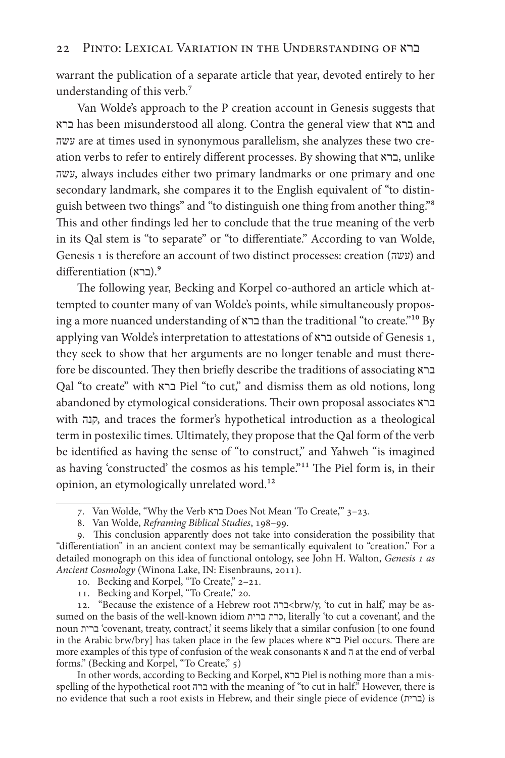warrant the publication of a separate article that year, devoted entirely to her understanding of this verb.7

Van Wolde's approach to the P creation account in Genesis suggests that ברא has been misunderstood all along. Contra the general view that ברא and עשה are at times used in synonymous parallelism, she analyzes these two creation verbs to refer to entirely diferent processes. By showing that ברא, unlike עשה, always includes either two primary landmarks or one primary and one secondary landmark, she compares it to the English equivalent of "to distinguish between two things" and "to distinguish one thing from another thing."8 This and other findings led her to conclude that the true meaning of the verb in its Qal stem is "to separate" or "to diferentiate." According to van Wolde, Genesis 1 is therefore an account of two distinct processes: creation (עשה) and .9(ברא) diferentiation

The following year, Becking and Korpel co-authored an article which attempted to counter many of van Wolde's points, while simultaneously proposing a more nuanced understanding of ברא than the traditional "to create."10 By applying van Wolde's interpretation to attestations of ברא outside of Genesis 1, they seek to show that her arguments are no longer tenable and must therefore be discounted. They then briefly describe the traditions of associating  $\epsilon$ Qal "to create" with ברא Piel "to cut," and dismiss them as old notions, long abandoned by etymological considerations. Their own proposal associates ברא with קנה, and traces the former's hypothetical introduction as a theological term in postexilic times. Ultimately, they propose that the Qal form of the verb be identifed as having the sense of "to construct," and Yahweh "is imagined as having 'constructed' the cosmos as his temple."<sup>11</sup> The Piel form is, in their opinion, an etymologically unrelated word.<sup>12</sup>

- 10. Becking and Korpel, "To Create," 2–21.
- 11. Becking and Korpel, "To Create," 20.

12. "Because the existence of a Hebrew root ברה>brw/y, 'to cut in half,' may be assumed on the basis of the well-known idiom ברית כרת, literally 'to cut a covenant', and the noun ברית' covenant, treaty, contract,' it seems likely that a similar confusion [to one found in the Arabic brw/bry] has taken place in the few places where ברא Piel occurs. Tere are more examples of this type of confusion of the weak consonants  $\alpha$  and  $\bar{\alpha}$  at the end of verbal forms." (Becking and Korpel, "To Create," 5)

In other words, according to Becking and Korpel, ברא Piel is nothing more than a misspelling of the hypothetical root ברה with the meaning of "to cut in half." However, there is no evidence that such a root exists in Hebrew, and their single piece of evidence (ברית (is

<sup>7</sup>. Van Wolde, "Why the Verb ברא Does Not Mean 'To Create,'" 3–23.

<sup>8</sup>. Van Wolde, *Reframing Biblical Studies*, 198–99.

<sup>9</sup>. Tis conclusion apparently does not take into consideration the possibility that "diferentiation" in an ancient context may be semantically equivalent to "creation." For a detailed monograph on this idea of functional ontology, see John H. Walton, *Genesis* 1 *as Ancient Cosmology* (Winona Lake, IN: Eisenbrauns, 2011).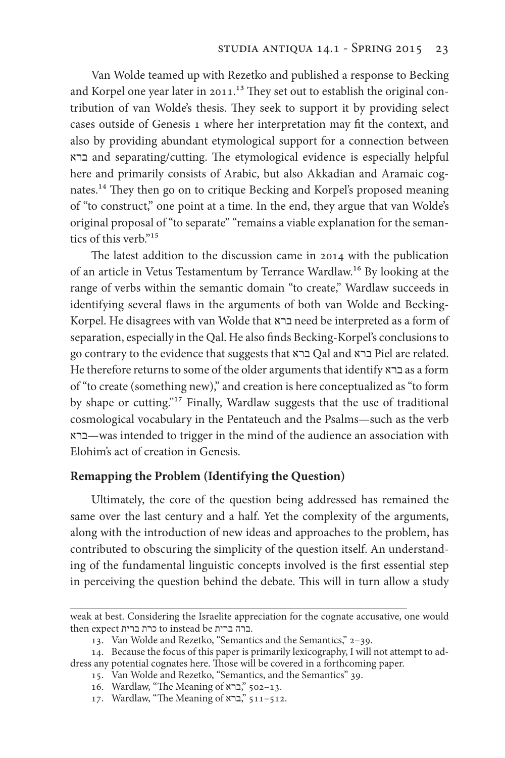Van Wolde teamed up with Rezetko and published a response to Becking and Korpel one year later in 2011.<sup>13</sup> They set out to establish the original contribution of van Wolde's thesis. They seek to support it by providing select cases outside of Genesis 1 where her interpretation may ft the context, and also by providing abundant etymological support for a connection between ברא and separating/cutting. Te etymological evidence is especially helpful here and primarily consists of Arabic, but also Akkadian and Aramaic cognates.<sup>14</sup> They then go on to critique Becking and Korpel's proposed meaning of "to construct," one point at a time. In the end, they argue that van Wolde's original proposal of "to separate" "remains a viable explanation for the semantics of this verb."15

The latest addition to the discussion came in 2014 with the publication of an article in Vetus Testamentum by Terrance Wardlaw.16 By looking at the range of verbs within the semantic domain "to create," Wardlaw succeeds in identifying several flaws in the arguments of both van Wolde and Becking-Korpel. He disagrees with van Wolde that ברא need be interpreted as a form of separation, especially in the Qal. He also fnds Becking-Korpel's conclusions to go contrary to the evidence that suggests that ברא Qal and ברא Piel are related. He therefore returns to some of the older arguments that identify ברא as a form of "to create (something new)," and creation is here conceptualized as "to form by shape or cutting."17 Finally, Wardlaw suggests that the use of traditional cosmological vocabulary in the Pentateuch and the Psalms—such as the verb ברא—was intended to trigger in the mind of the audience an association with Elohim's act of creation in Genesis.

#### **Remapping the Problem (Identifying the Question)**

Ultimately, the core of the question being addressed has remained the same over the last century and a half. Yet the complexity of the arguments, along with the introduction of new ideas and approaches to the problem, has contributed to obscuring the simplicity of the question itself. An understanding of the fundamental linguistic concepts involved is the frst essential step in perceiving the question behind the debate. This will in turn allow a study

weak at best. Considering the Israelite appreciation for the cognate accusative, one would then expect ברית כרת to instead be ברית ברה.

<sup>13</sup>. Van Wolde and Rezetko, "Semantics and the Semantics," 2–39.

<sup>14</sup>. Because the focus of this paper is primarily lexicography, I will not attempt to address any potential cognates here. Those will be covered in a forthcoming paper.

<sup>15</sup>. Van Wolde and Rezetko, "Semantics, and the Semantics" 39.

<sup>16</sup>. Wardlaw, "Te Meaning of ברא, "502–13.

<sup>17.</sup> Wardlaw, "The Meaning of "ברא, "511–512.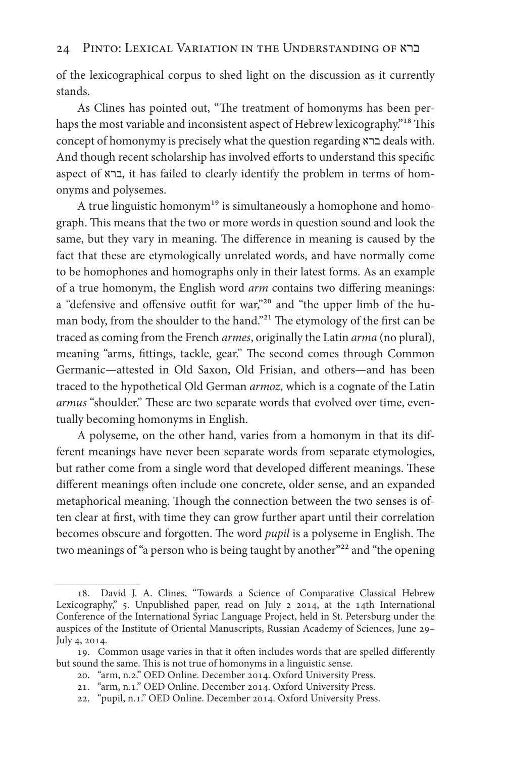of the lexicographical corpus to shed light on the discussion as it currently stands.

As Clines has pointed out, "The treatment of homonyms has been perhaps the most variable and inconsistent aspect of Hebrew lexicography."<sup>18</sup> This concept of homonymy is precisely what the question regarding ברא deals with. And though recent scholarship has involved efforts to understand this specific aspect of ברא, it has failed to clearly identify the problem in terms of homonyms and polysemes.

A true linguistic homonym<sup>19</sup> is simultaneously a homophone and homograph. This means that the two or more words in question sound and look the same, but they vary in meaning. The difference in meaning is caused by the fact that these are etymologically unrelated words, and have normally come to be homophones and homographs only in their latest forms. As an example of a true homonym, the English word *arm* contains two difering meanings: a "defensive and ofensive outft for war,"20 and "the upper limb of the human body, from the shoulder to the hand."<sup>21</sup> The etymology of the first can be traced as coming from the French *armes*, originally the Latin *arma* (no plural), meaning "arms, fittings, tackle, gear." The second comes through Common Germanic—attested in Old Saxon, Old Frisian, and others—and has been traced to the hypothetical Old German *armoz*, which is a cognate of the Latin armus "shoulder." These are two separate words that evolved over time, eventually becoming homonyms in English.

A polyseme, on the other hand, varies from a homonym in that its different meanings have never been separate words from separate etymologies, but rather come from a single word that developed different meanings. These diferent meanings ofen include one concrete, older sense, and an expanded metaphorical meaning. Though the connection between the two senses is often clear at frst, with time they can grow further apart until their correlation becomes obscure and forgotten. The word *pupil* is a polyseme in English. The two meanings of "a person who is being taught by another"<sup>22</sup> and "the opening

<sup>18</sup>. David J. A. Clines, "Towards a Science of Comparative Classical Hebrew Lexicography," 5. Unpublished paper, read on July 2 2014, at the 14th International Conference of the International Syriac Language Project, held in St. Petersburg under the auspices of the Institute of Oriental Manuscripts, Russian Academy of Sciences, June 29– July 4, 2014.

<sup>19.</sup> Common usage varies in that it often includes words that are spelled differently but sound the same. This is not true of homonyms in a linguistic sense.

<sup>20</sup>. "arm, n.2." OED Online. December 2014. Oxford University Press.

<sup>21</sup>. "arm, n.1." OED Online. December 2014. Oxford University Press.

<sup>22</sup>. "pupil, n.1." OED Online. December 2014. Oxford University Press.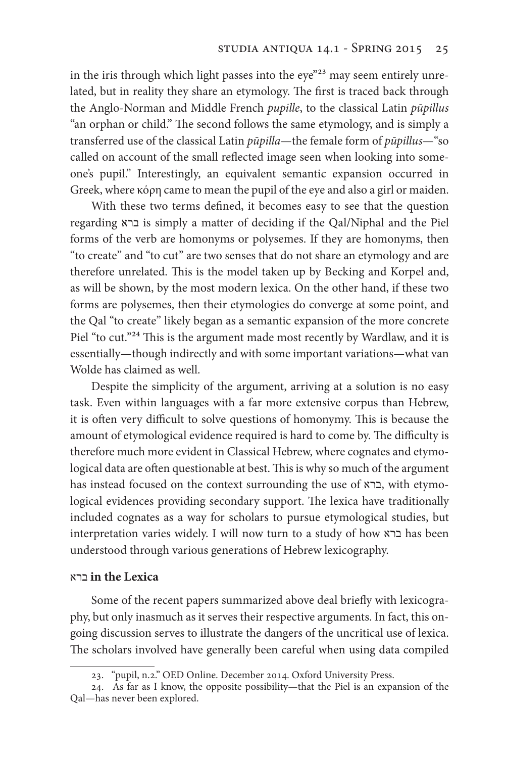in the iris through which light passes into the eye"<sup>23</sup> may seem entirely unrelated, but in reality they share an etymology. The first is traced back through the Anglo-Norman and Middle French *pupille*, to the classical Latin *p*ū*pillus* "an orphan or child." The second follows the same etymology, and is simply a transferred use of the classical Latin *p*ū*pilla*—the female form of *p*ū*pillus*—"so called on account of the small refected image seen when looking into someone's pupil." Interestingly, an equivalent semantic expansion occurred in Greek, where κόρη came to mean the pupil of the eye and also a girl or maiden.

With these two terms defned, it becomes easy to see that the question regarding ברא is simply a matter of deciding if the Qal/Niphal and the Piel forms of the verb are homonyms or polysemes. If they are homonyms, then "to create" and "to cut" are two senses that do not share an etymology and are therefore unrelated. This is the model taken up by Becking and Korpel and, as will be shown, by the most modern lexica. On the other hand, if these two forms are polysemes, then their etymologies do converge at some point, and the Qal "to create" likely began as a semantic expansion of the more concrete Piel "to cut."<sup>24</sup> This is the argument made most recently by Wardlaw, and it is essentially—though indirectly and with some important variations—what van Wolde has claimed as well.

Despite the simplicity of the argument, arriving at a solution is no easy task. Even within languages with a far more extensive corpus than Hebrew, it is often very difficult to solve questions of homonymy. This is because the amount of etymological evidence required is hard to come by. The difficulty is therefore much more evident in Classical Hebrew, where cognates and etymological data are often questionable at best. This is why so much of the argument has instead focused on the context surrounding the use of ברא, with etymological evidences providing secondary support. The lexica have traditionally included cognates as a way for scholars to pursue etymological studies, but interpretation varies widely. I will now turn to a study of how ברא has been understood through various generations of Hebrew lexicography.

#### ברא **in the Lexica**

Some of the recent papers summarized above deal briefy with lexicography, but only inasmuch as it serves their respective arguments. In fact, this ongoing discussion serves to illustrate the dangers of the uncritical use of lexica. The scholars involved have generally been careful when using data compiled

<sup>23</sup>. "pupil, n.2." OED Online. December 2014. Oxford University Press.

<sup>24</sup>. As far as I know, the opposite possibility—that the Piel is an expansion of the Qal—has never been explored.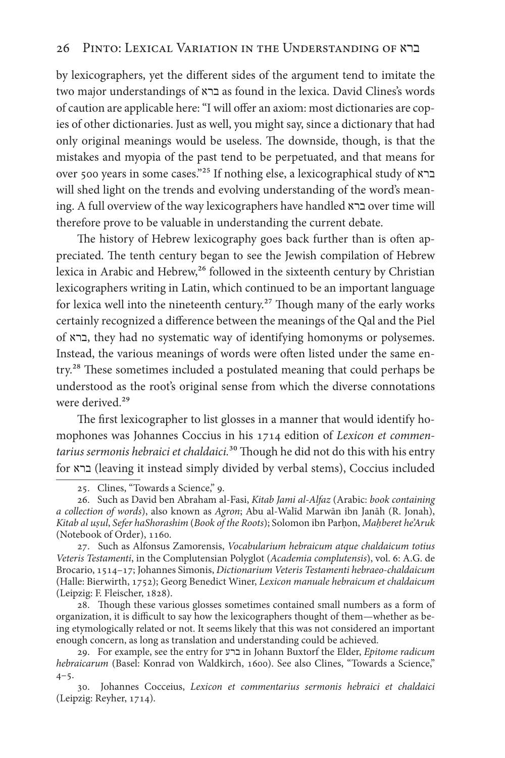by lexicographers, yet the diferent sides of the argument tend to imitate the two major understandings of ברא as found in the lexica. David Clines's words of caution are applicable here: "I will offer an axiom: most dictionaries are copies of other dictionaries. Just as well, you might say, since a dictionary that had only original meanings would be useless. The downside, though, is that the mistakes and myopia of the past tend to be perpetuated, and that means for over 500 years in some cases."25 If nothing else, a lexicographical study of ברא will shed light on the trends and evolving understanding of the word's meaning. A full overview of the way lexicographers have handled ברא over time will therefore prove to be valuable in understanding the current debate.

The history of Hebrew lexicography goes back further than is often appreciated. The tenth century began to see the Jewish compilation of Hebrew lexica in Arabic and Hebrew,<sup>26</sup> followed in the sixteenth century by Christian lexicographers writing in Latin, which continued to be an important language for lexica well into the nineteenth century.<sup>27</sup> Though many of the early works certainly recognized a diference between the meanings of the Qal and the Piel of ברא, they had no systematic way of identifying homonyms or polysemes. Instead, the various meanings of words were often listed under the same entry.<sup>28</sup> These sometimes included a postulated meaning that could perhaps be understood as the root's original sense from which the diverse connotations were derived.<sup>29</sup>

The first lexicographer to list glosses in a manner that would identify homophones was Johannes Coccius in his 1714 edition of *Lexicon et commen*tarius sermonis hebraici et chaldaici.<sup>30</sup> Though he did not do this with his entry for ברא) leaving it instead simply divided by verbal stems), Coccius included

28. Though these various glosses sometimes contained small numbers as a form of organization, it is difficult to say how the lexicographers thought of them—whether as being etymologically related or not. It seems likely that this was not considered an important enough concern, as long as translation and understanding could be achieved.

<sup>25</sup>. Clines, "Towards a Science," 9.

<sup>26</sup>. Such as David ben Abraham al-Fasi, *Kitab Jami al-Alfaz* (Arabic: *book containing a collection of words*), also known as *Agron*; Abu al-Walīd Marwān ibn Janāh (R. Jonah), *Kitab al uṣul*, *Sefer haShorashim* (*Book of the Roots*); Solomon ibn Parḥon, *Maḥberet he'Aruk*  (Notebook of Order), 1160.

<sup>27</sup>. Such as Alfonsus Zamorensis, *Vocabularium hebraicum atque chaldaicum totius Veteris Testamenti*, in the Complutensian Polyglot (*Academia complutensis*), vol. 6: A.G. de Brocario, 1514–17; Johannes Simonis, *Dictionarium Veteris Testamenti hebraeo-chaldaicum* (Halle: Bierwirth, 1752); Georg Benedict Winer, *Lexicon manuale hebraicum et chaldaicum* (Leipzig: F. Fleischer, 1828).

<sup>29</sup>. For example, see the entry for ברע in Johann Buxtorf the Elder, *Epitome radicum hebraicarum* (Basel: Konrad von Waldkirch, 1600). See also Clines, "Towards a Science,"  $4 - 5.$ 

<sup>30</sup>. Johannes Cocceius, *Lexicon et commentarius sermonis hebraici et chaldaici*  (Leipzig: Reyher, 1714).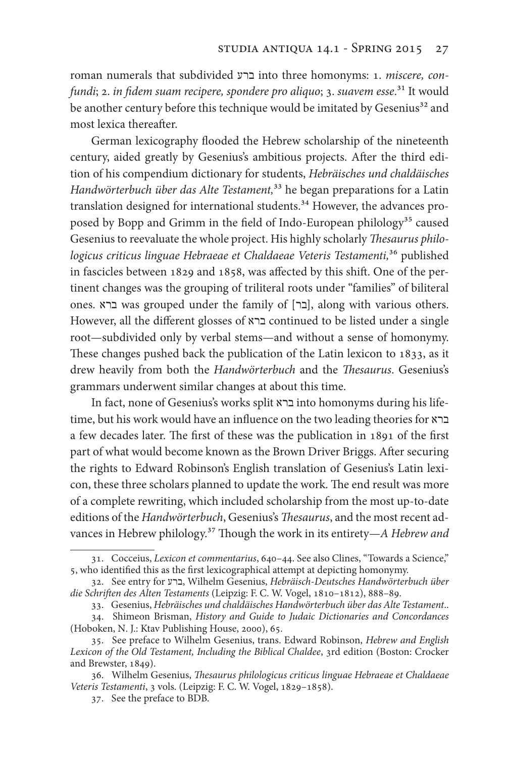roman numerals that subdivided ברע into three homonyms: 1. *miscere, confundi*; 2. *in* f*dem suam recipere, spondere pro aliquo*; 3. *suavem esse*.31 It would be another century before this technique would be imitated by Gesenius<sup>32</sup> and most lexica thereafter.

German lexicography flooded the Hebrew scholarship of the nineteenth century, aided greatly by Gesenius's ambitious projects. Afer the third edition of his compendium dictionary for students, *Hebräisches und chaldäisches Handwörterbuch über das Alte Testament,*33 he began preparations for a Latin translation designed for international students.<sup>34</sup> However, the advances proposed by Bopp and Grimm in the field of Indo-European philology<sup>35</sup> caused Gesenius to reevaluate the whole project. His highly scholarly Thesaurus philo*logicus criticus linguae Hebraeae et Chaldaeae Veteris Testamenti,*36 published in fascicles between 1829 and 1858, was afected by this shif. One of the pertinent changes was the grouping of triliteral roots under "families" of biliteral ones. ברא was grouped under the family of [בר], along with various others. However, all the diferent glosses of ברא continued to be listed under a single root—subdivided only by verbal stems—and without a sense of homonymy. These changes pushed back the publication of the Latin lexicon to 1833, as it drew heavily from both the *Handwörterbuch* and the *Thesaurus*. Gesenius's grammars underwent similar changes at about this time.

In fact, none of Gesenius's works split ברא into homonyms during his lifetime, but his work would have an infuence on the two leading theories for ברא a few decades later. The first of these was the publication in 1891 of the first part of what would become known as the Brown Driver Briggs. After securing the rights to Edward Robinson's English translation of Gesenius's Latin lexicon, these three scholars planned to update the work. The end result was more of a complete rewriting, which included scholarship from the most up-to-date editions of the *Handwörterbuch*, Gesenius's *Thesaurus*, and the most recent advances in Hebrew philology.37 Tough the work in its entirety—*A Hebrew and* 

<sup>31</sup>. Cocceius, *Lexicon et commentarius*, 640–44. See also Clines, "Towards a Science," 5, who identifed this as the frst lexicographical attempt at depicting homonymy.

<sup>32</sup>. See entry for ברע, Wilhelm Gesenius, *Hebräisch*‐*Deutsches Handwörterbuch über die Schri*f*en des Alten Testaments* (Leipzig: F. C. W. Vogel, 1810–1812), 888–89.

<sup>33</sup>. Gesenius, *Hebräisches und chaldäisches Handwörterbuch über das Alte Testament*..

<sup>34</sup>. Shimeon Brisman, *History and Guide to Judaic Dictionaries and Concordances*  (Hoboken, N. J.: Ktav Publishing House, 2000), 65.

<sup>35</sup>. See preface to Wilhelm Gesenius, trans. Edward Robinson, *Hebrew and English Lexicon of the Old Testament, Including the Biblical Chaldee*, 3rd edition (Boston: Crocker and Brewster, 1849).

<sup>36</sup>. Wilhelm Gesenius, T*esaurus philologicus criticus linguae Hebraeae et Chaldaeae Veteris Testamenti*, 3 vols. (Leipzig: F. C. W. Vogel, 1829–1858).

<sup>37</sup>. See the preface to BDB.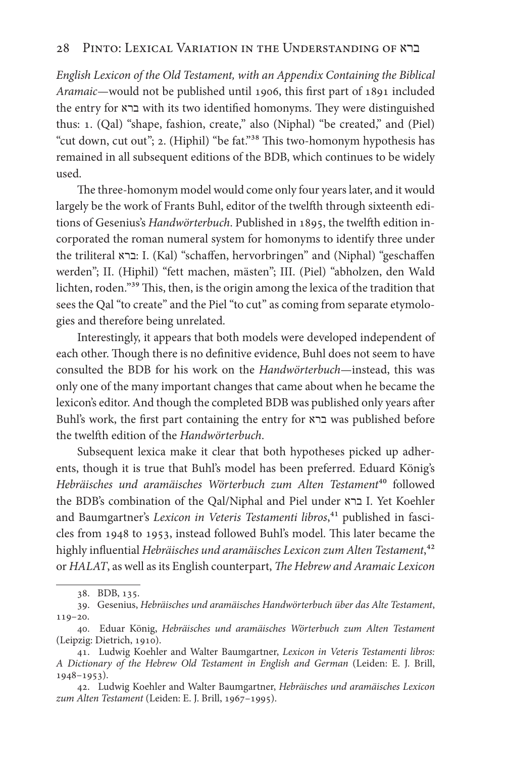*English Lexicon of the Old Testament, with an Appendix Containing the Biblical Aramaic*—would not be published until 1906, this frst part of 1891 included the entry for ברא with its two identified homonyms. They were distinguished thus: 1. (Qal) "shape, fashion, create," also (Niphal) "be created," and (Piel) "cut down, cut out"; 2. (Hiphil) "be fat."<sup>38</sup> This two-homonym hypothesis has remained in all subsequent editions of the BDB, which continues to be widely used.

The three-homonym model would come only four years later, and it would largely be the work of Frants Buhl, editor of the twelfh through sixteenth editions of Gesenius's *Handwörterbuch*. Published in 1895, the twelfh edition incorporated the roman numeral system for homonyms to identify three under the triliteral ברא: I. (Kal) "schafen, hervorbringen" and (Niphal) "geschafen werden"; II. (Hiphil) "fett machen, mästen"; III. (Piel) "abholzen, den Wald lichten, roden."<sup>39</sup> This, then, is the origin among the lexica of the tradition that sees the Qal "to create" and the Piel "to cut" as coming from separate etymologies and therefore being unrelated.

Interestingly, it appears that both models were developed independent of each other. Though there is no definitive evidence, Buhl does not seem to have consulted the BDB for his work on the *Handwörterbuch*—instead, this was only one of the many important changes that came about when he became the lexicon's editor. And though the completed BDB was published only years afer Buhl's work, the frst part containing the entry for ברא was published before the twelfh edition of the *Handwörterbuch*.

Subsequent lexica make it clear that both hypotheses picked up adherents, though it is true that Buhl's model has been preferred. Eduard König's *Hebräisches und aramäisches Wörterbuch zum Alten Testament*40 followed the BDB's combination of the Qal/Niphal and Piel under ברא I. Yet Koehler and Baumgartner's Lexicon in Veteris Testamenti libros,<sup>41</sup> published in fascicles from 1948 to 1953, instead followed Buhl's model. This later became the highly infuential *Hebräisches und aramäisches Lexicon zum Alten Testament*,42 or *HALAT*, as well as its English counterpart, T*e Hebrew and Aramaic Lexicon* 

<sup>38</sup>. BDB, 135.

<sup>39</sup>. Gesenius, *Hebräisches und aramäisches Handwörterbuch über das Alte Testament*, 119–20.

<sup>40</sup>. Eduar König, *Hebräisches und aramäisches Wörterbuch zum Alten Testament*  (Leipzig: Dietrich, 1910).

<sup>41</sup>. Ludwig Koehler and Walter Baumgartner, *Lexicon in Veteris Testamenti libros: A Dictionary of the Hebrew Old Testament in English and German* (Leiden: E. J. Brill, 1948–1953).

<sup>42</sup>. Ludwig Koehler and Walter Baumgartner, *Hebräisches und aramäisches Lexicon zum Alten Testament* (Leiden: E. J. Brill, 1967–1995).